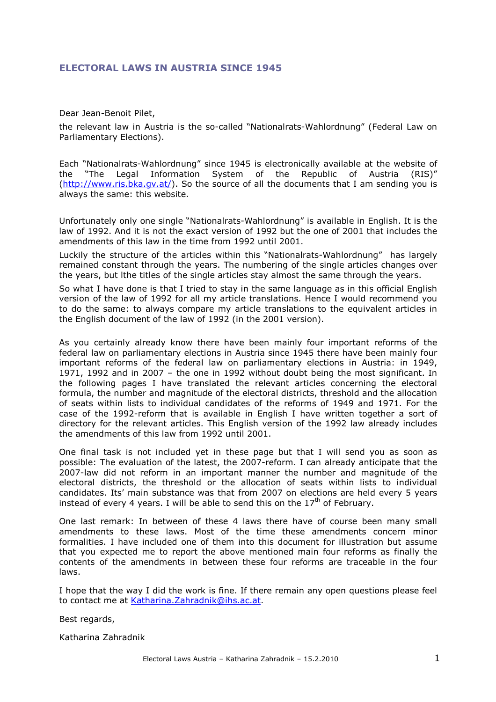### **ELECTORAL LAWS IN AUSTRIA SINCE 1945**

Dear Jean-Benoit Pilet,

the relevant law in Austria is the so-called "Nationalrats-Wahlordnung" (Federal Law on Parliamentary Elections).

Each "Nationalrats-Wahlordnung" since 1945 is electronically available at the website of the "The Legal Information System of the Republic of Austria (RIS)" (http://www.ris.bka.gv.at/). So the source of all the documents that I am sending you is always the same: this website.

Unfortunately only one single "Nationalrats-Wahlordnung" is available in English. It is the law of 1992. And it is not the exact version of 1992 but the one of 2001 that includes the amendments of this law in the time from 1992 until 2001.

Luckily the structure of the articles within this "Nationalrats-Wahlordnung" has largely remained constant through the years. The numbering of the single articles changes over the years, but lthe titles of the single articles stay almost the same through the years.

So what I have done is that I tried to stay in the same language as in this official English version of the law of 1992 for all my article translations. Hence I would recommend you to do the same: to always compare my article translations to the equivalent articles in the English document of the law of 1992 (in the 2001 version).

As you certainly already know there have been mainly four important reforms of the federal law on parliamentary elections in Austria since 1945 there have been mainly four important reforms of the federal law on parliamentary elections in Austria: in 1949, 1971, 1992 and in 2007 – the one in 1992 without doubt being the most significant. In the following pages I have translated the relevant articles concerning the electoral formula, the number and magnitude of the electoral districts, threshold and the allocation of seats within lists to individual candidates of the reforms of 1949 and 1971. For the case of the 1992-reform that is available in English I have written together a sort of directory for the relevant articles. This English version of the 1992 law already includes the amendments of this law from 1992 until 2001.

One final task is not included yet in these page but that I will send you as soon as possible: The evaluation of the latest, the 2007-reform. I can already anticipate that the 2007-law did not reform in an important manner the number and magnitude of the electoral districts, the threshold or the allocation of seats within lists to individual candidates. Its' main substance was that from 2007 on elections are held every 5 years instead of every 4 years. I will be able to send this on the  $17<sup>th</sup>$  of February.

One last remark: In between of these 4 laws there have of course been many small amendments to these laws. Most of the time these amendments concern minor formalities. I have included one of them into this document for illustration but assume that you expected me to report the above mentioned main four reforms as finally the contents of the amendments in between these four reforms are traceable in the four laws.

I hope that the way I did the work is fine. If there remain any open questions please feel to contact me at Katharina.Zahradnik@ihs.ac.at.

Best regards,

Katharina Zahradnik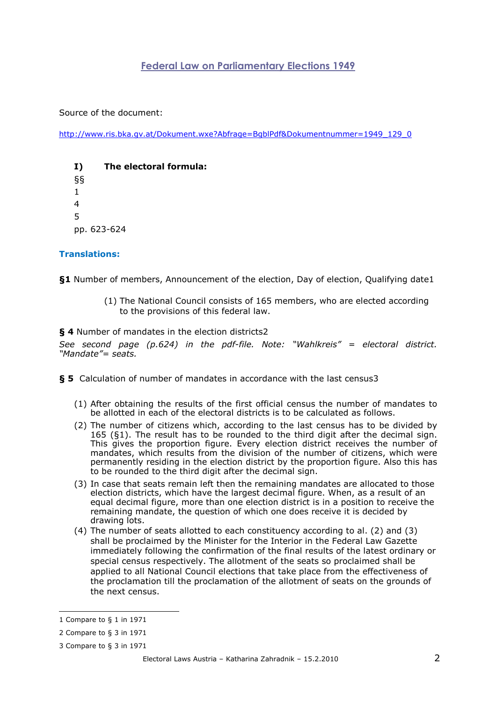# **Federal Law on Parliamentary Elections 1949**

Source of the document:

http://www.ris.bka.gv.at/Dokument.wxe?Abfrage=BgblPdf&Dokumentnummer=1949\_129\_0

| I)           | The electoral formula: |
|--------------|------------------------|
| ୍ବ ବ୍        |                        |
| $\mathbf{1}$ |                        |
| 4            |                        |
| .5           |                        |
|              | pp. 623-624            |

#### **Translations:**

**§1** Number of members, Announcement of the election, Day of election, Qualifying date1

(1) The National Council consists of 165 members, who are elected according to the provisions of this federal law.

**§ 4** Number of mandates in the election districts2

*See second page (p.624) in the pdf-file. Note: "Wahlkreis" = electoral district. "Mandate"= seats.* 

**§ 5** Calculation of number of mandates in accordance with the last census3

- (1) After obtaining the results of the first official census the number of mandates to be allotted in each of the electoral districts is to be calculated as follows.
- (2) The number of citizens which, according to the last census has to be divided by 165 (§1). The result has to be rounded to the third digit after the decimal sign. This gives the proportion figure. Every election district receives the number of mandates, which results from the division of the number of citizens, which were permanently residing in the election district by the proportion figure. Also this has to be rounded to the third digit after the decimal sign.
- (3) In case that seats remain left then the remaining mandates are allocated to those election districts, which have the largest decimal figure. When, as a result of an equal decimal figure, more than one election district is in a position to receive the remaining mandate, the question of which one does receive it is decided by drawing lots.
- (4) The number of seats allotted to each constituency according to al. (2) and (3) shall be proclaimed by the Minister for the Interior in the Federal Law Gazette immediately following the confirmation of the final results of the latest ordinary or special census respectively. The allotment of the seats so proclaimed shall be applied to all National Council elections that take place from the effectiveness of the proclamation till the proclamation of the allotment of seats on the grounds of the next census.

<sup>1</sup> Compare to § 1 in 1971

<sup>2</sup> Compare to § 3 in 1971

<sup>3</sup> Compare to § 3 in 1971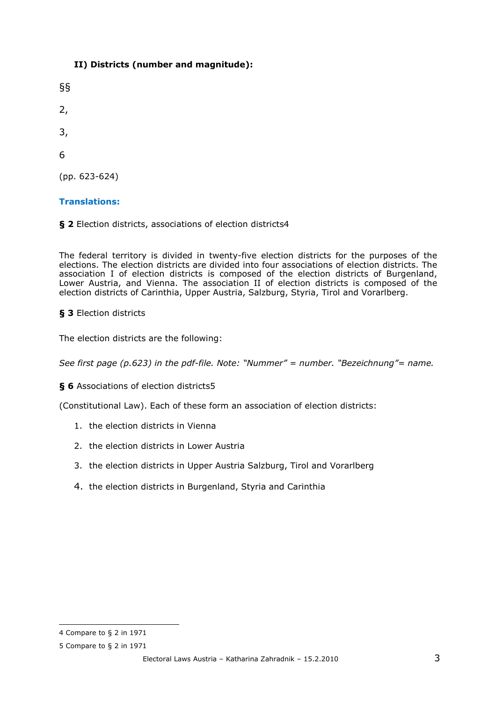## **II) Districts (number and magnitude):**

§§ 2, 3, 6 (pp. 623-624)

#### **Translations:**

**§ 2** Election districts, associations of election districts4

The federal territory is divided in twenty-five election districts for the purposes of the elections. The election districts are divided into four associations of election districts. The association I of election districts is composed of the election districts of Burgenland, Lower Austria, and Vienna. The association II of election districts is composed of the election districts of Carinthia, Upper Austria, Salzburg, Styria, Tirol and Vorarlberg.

#### **§ 3** Election districts

The election districts are the following:

*See first page (p.623) in the pdf-file. Note: "Nummer" = number. "Bezeichnung"= name.* 

**§ 6** Associations of election districts5

(Constitutional Law). Each of these form an association of election districts:

- 1. the election districts in Vienna
- 2. the election districts in Lower Austria
- 3. the election districts in Upper Austria Salzburg, Tirol and Vorarlberg
- 4. the election districts in Burgenland, Styria and Carinthia

<sup>4</sup> Compare to § 2 in 1971

<sup>5</sup> Compare to § 2 in 1971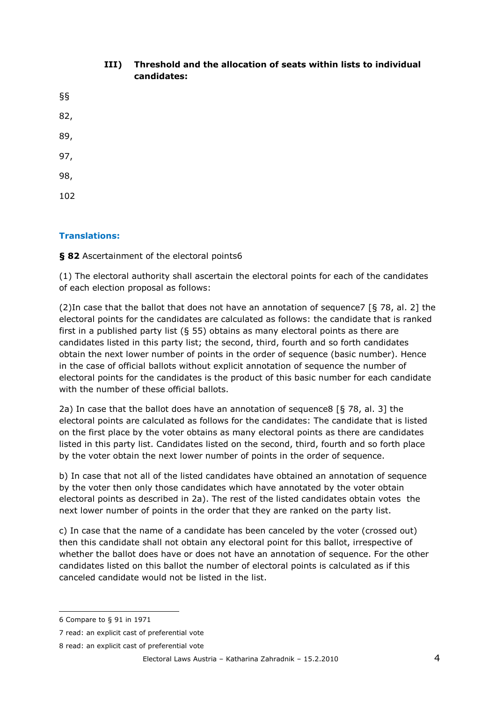# **III) Threshold and the allocation of seats within lists to individual candidates:**

§§ 82, 89, 97, 98, 102

## **Translations:**

**§ 82** Ascertainment of the electoral points6

(1) The electoral authority shall ascertain the electoral points for each of the candidates of each election proposal as follows:

(2)In case that the ballot that does not have an annotation of sequence7 [§ 78, al. 2] the electoral points for the candidates are calculated as follows: the candidate that is ranked first in a published party list (§ 55) obtains as many electoral points as there are candidates listed in this party list; the second, third, fourth and so forth candidates obtain the next lower number of points in the order of sequence (basic number). Hence in the case of official ballots without explicit annotation of sequence the number of electoral points for the candidates is the product of this basic number for each candidate with the number of these official ballots.

2a) In case that the ballot does have an annotation of sequence8 [§ 78, al. 3] the electoral points are calculated as follows for the candidates: The candidate that is listed on the first place by the voter obtains as many electoral points as there are candidates listed in this party list. Candidates listed on the second, third, fourth and so forth place by the voter obtain the next lower number of points in the order of sequence.

b) In case that not all of the listed candidates have obtained an annotation of sequence by the voter then only those candidates which have annotated by the voter obtain electoral points as described in 2a). The rest of the listed candidates obtain votes the next lower number of points in the order that they are ranked on the party list.

c) In case that the name of a candidate has been canceled by the voter (crossed out) then this candidate shall not obtain any electoral point for this ballot, irrespective of whether the ballot does have or does not have an annotation of sequence. For the other candidates listed on this ballot the number of electoral points is calculated as if this canceled candidate would not be listed in the list.

<sup>6</sup> Compare to § 91 in 1971

<sup>7</sup> read: an explicit cast of preferential vote

<sup>8</sup> read: an explicit cast of preferential vote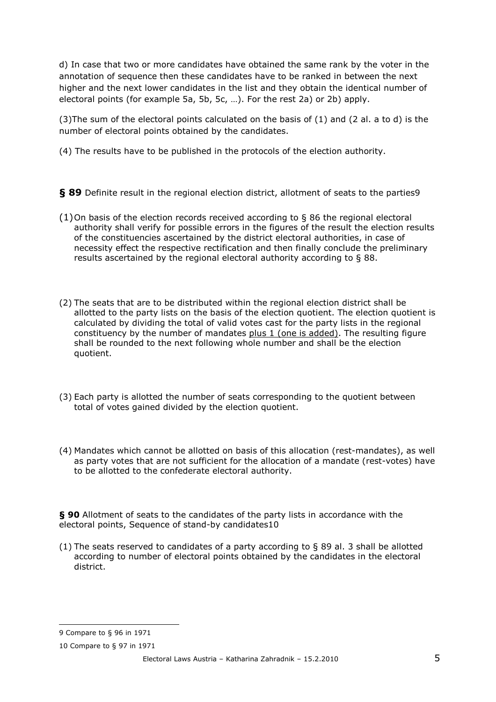d) In case that two or more candidates have obtained the same rank by the voter in the annotation of sequence then these candidates have to be ranked in between the next higher and the next lower candidates in the list and they obtain the identical number of electoral points (for example 5a, 5b, 5c, …). For the rest 2a) or 2b) apply.

(3) The sum of the electoral points calculated on the basis of  $(1)$  and  $(2 \text{ al. a to d})$  is the number of electoral points obtained by the candidates.

(4) The results have to be published in the protocols of the election authority.

§ 89 Definite result in the regional election district, allotment of seats to the parties9

- (1) On basis of the election records received according to § 86 the regional electoral authority shall verify for possible errors in the figures of the result the election results of the constituencies ascertained by the district electoral authorities, in case of necessity effect the respective rectification and then finally conclude the preliminary results ascertained by the regional electoral authority according to § 88.
- (2) The seats that are to be distributed within the regional election district shall be allotted to the party lists on the basis of the election quotient. The election quotient is calculated by dividing the total of valid votes cast for the party lists in the regional constituency by the number of mandates plus 1 (one is added). The resulting figure shall be rounded to the next following whole number and shall be the election quotient.
- (3) Each party is allotted the number of seats corresponding to the quotient between total of votes gained divided by the election quotient.
- (4) Mandates which cannot be allotted on basis of this allocation (rest-mandates), as well as party votes that are not sufficient for the allocation of a mandate (rest-votes) have to be allotted to the confederate electoral authority.

**§ 90** Allotment of seats to the candidates of the party lists in accordance with the electoral points, Sequence of stand-by candidates10

(1) The seats reserved to candidates of a party according to § 89 al. 3 shall be allotted according to number of electoral points obtained by the candidates in the electoral district.

<sup>9</sup> Compare to § 96 in 1971

<sup>10</sup> Compare to § 97 in 1971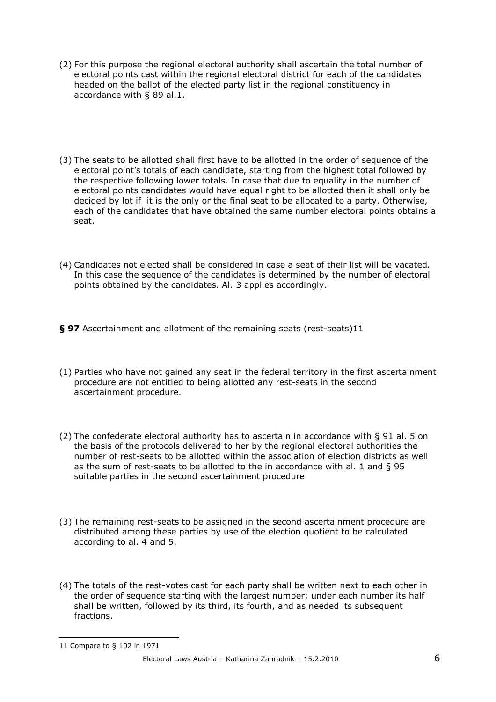- (2) For this purpose the regional electoral authority shall ascertain the total number of electoral points cast within the regional electoral district for each of the candidates headed on the ballot of the elected party list in the regional constituency in accordance with § 89 al.1.
- (3) The seats to be allotted shall first have to be allotted in the order of sequence of the electoral point's totals of each candidate, starting from the highest total followed by the respective following lower totals. In case that due to equality in the number of electoral points candidates would have equal right to be allotted then it shall only be decided by lot if it is the only or the final seat to be allocated to a party. Otherwise, each of the candidates that have obtained the same number electoral points obtains a seat.
- (4) Candidates not elected shall be considered in case a seat of their list will be vacated*.*  In this case the sequence of the candidates is determined by the number of electoral points obtained by the candidates. Al. 3 applies accordingly.
- **§ 97** Ascertainment and allotment of the remaining seats (rest-seats)11
- (1) Parties who have not gained any seat in the federal territory in the first ascertainment procedure are not entitled to being allotted any rest-seats in the second ascertainment procedure.
- (2) The confederate electoral authority has to ascertain in accordance with § 91 al. 5 on the basis of the protocols delivered to her by the regional electoral authorities the number of rest-seats to be allotted within the association of election districts as well as the sum of rest-seats to be allotted to the in accordance with al. 1 and § 95 suitable parties in the second ascertainment procedure.
- (3) The remaining rest-seats to be assigned in the second ascertainment procedure are distributed among these parties by use of the election quotient to be calculated according to al. 4 and 5.
- (4) The totals of the rest-votes cast for each party shall be written next to each other in the order of sequence starting with the largest number; under each number its half shall be written, followed by its third, its fourth, and as needed its subsequent fractions.

<sup>11</sup> Compare to § 102 in 1971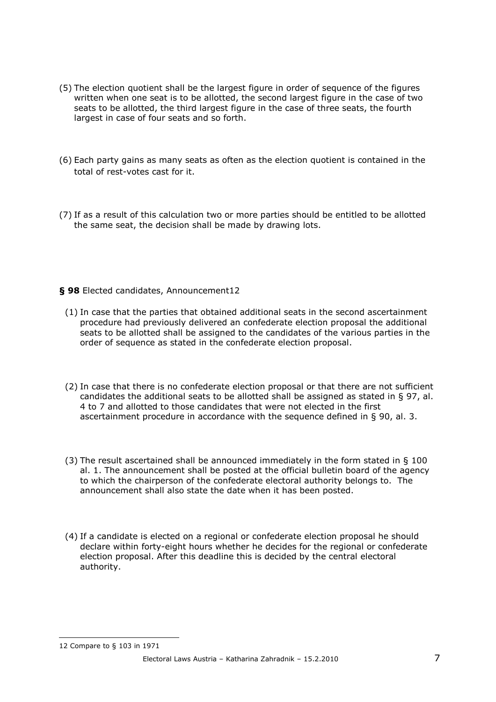- (5) The election quotient shall be the largest figure in order of sequence of the figures written when one seat is to be allotted, the second largest figure in the case of two seats to be allotted, the third largest figure in the case of three seats, the fourth largest in case of four seats and so forth.
- (6) Each party gains as many seats as often as the election quotient is contained in the total of rest-votes cast for it.
- (7) If as a result of this calculation two or more parties should be entitled to be allotted the same seat, the decision shall be made by drawing lots.

#### **§ 98** Elected candidates, Announcement12

- (1) In case that the parties that obtained additional seats in the second ascertainment procedure had previously delivered an confederate election proposal the additional seats to be allotted shall be assigned to the candidates of the various parties in the order of sequence as stated in the confederate election proposal.
- (2) In case that there is no confederate election proposal or that there are not sufficient candidates the additional seats to be allotted shall be assigned as stated in § 97, al. 4 to 7 and allotted to those candidates that were not elected in the first ascertainment procedure in accordance with the sequence defined in § 90, al. 3.
- (3) The result ascertained shall be announced immediately in the form stated in § 100 al. 1. The announcement shall be posted at the official bulletin board of the agency to which the chairperson of the confederate electoral authority belongs to. The announcement shall also state the date when it has been posted.
- (4) If a candidate is elected on a regional or confederate election proposal he should declare within forty-eight hours whether he decides for the regional or confederate election proposal. After this deadline this is decided by the central electoral authority.

12 Compare to § 103 in 1971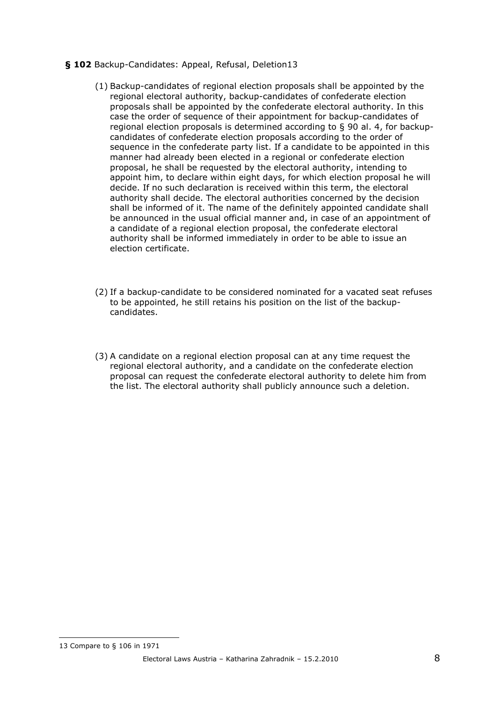#### **§ 102** Backup-Candidates: Appeal, Refusal, Deletion13

- (1) Backup-candidates of regional election proposals shall be appointed by the regional electoral authority, backup-candidates of confederate election proposals shall be appointed by the confederate electoral authority. In this case the order of sequence of their appointment for backup-candidates of regional election proposals is determined according to § 90 al. 4, for backupcandidates of confederate election proposals according to the order of sequence in the confederate party list. If a candidate to be appointed in this manner had already been elected in a regional or confederate election proposal, he shall be requested by the electoral authority, intending to appoint him, to declare within eight days, for which election proposal he will decide. If no such declaration is received within this term, the electoral authority shall decide. The electoral authorities concerned by the decision shall be informed of it. The name of the definitely appointed candidate shall be announced in the usual official manner and, in case of an appointment of a candidate of a regional election proposal, the confederate electoral authority shall be informed immediately in order to be able to issue an election certificate.
- (2) If a backup-candidate to be considered nominated for a vacated seat refuses to be appointed, he still retains his position on the list of the backupcandidates.
- (3) A candidate on a regional election proposal can at any time request the regional electoral authority, and a candidate on the confederate election proposal can request the confederate electoral authority to delete him from the list. The electoral authority shall publicly announce such a deletion.

<sup>13</sup> Compare to § 106 in 1971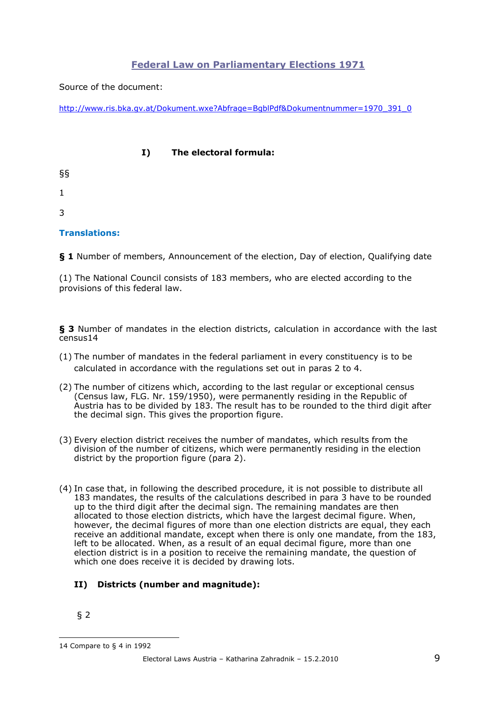## **Federal Law on Parliamentary Elections 1971**

Source of the document:

http://www.ris.bka.gv.at/Dokument.wxe?Abfrage=BgblPdf&Dokumentnummer=1970\_391\_0

#### **I) The electoral formula:**

§§

1

3

### **Translations:**

**§ 1** Number of members, Announcement of the election, Day of election, Qualifying date

(1) The National Council consists of 183 members, who are elected according to the provisions of this federal law.

**§ 3** Number of mandates in the election districts, calculation in accordance with the last census14

- (1) The number of mandates in the federal parliament in every constituency is to be calculated in accordance with the regulations set out in paras 2 to 4.
- (2) The number of citizens which, according to the last regular or exceptional census (Census law, FLG. Nr. 159/1950), were permanently residing in the Republic of Austria has to be divided by 183. The result has to be rounded to the third digit after the decimal sign. This gives the proportion figure.
- (3) Every election district receives the number of mandates, which results from the division of the number of citizens, which were permanently residing in the election district by the proportion figure (para 2).
- (4) In case that, in following the described procedure, it is not possible to distribute all 183 mandates, the results of the calculations described in para 3 have to be rounded up to the third digit after the decimal sign. The remaining mandates are then allocated to those election districts, which have the largest decimal figure. When, however, the decimal figures of more than one election districts are equal, they each receive an additional mandate, except when there is only one mandate, from the 183, left to be allocated. When, as a result of an equal decimal figure, more than one election district is in a position to receive the remaining mandate, the question of which one does receive it is decided by drawing lots.

## **II) Districts (number and magnitude):**

§ 2

<sup>14</sup> Compare to § 4 in 1992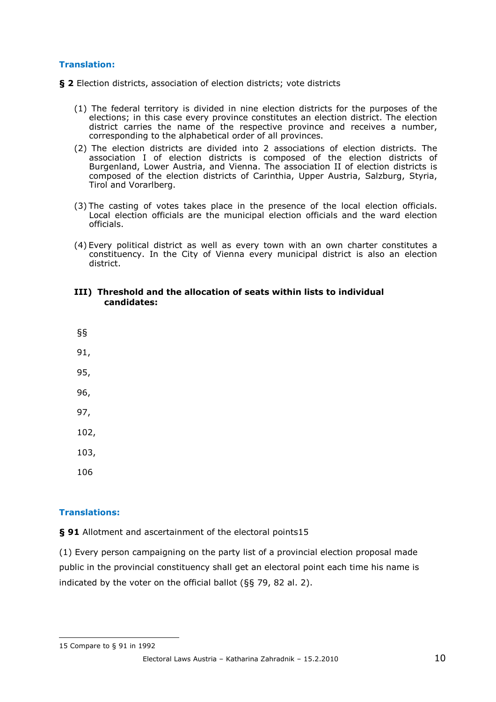#### **Translation:**

**§ 2** Election districts, association of election districts; vote districts

- (1) The federal territory is divided in nine election districts for the purposes of the elections; in this case every province constitutes an election district. The election district carries the name of the respective province and receives a number, corresponding to the alphabetical order of all provinces.
- (2) The election districts are divided into 2 associations of election districts. The association I of election districts is composed of the election districts of Burgenland, Lower Austria, and Vienna. The association II of election districts is composed of the election districts of Carinthia, Upper Austria, Salzburg, Styria, Tirol and Vorarlberg.
- (3) The casting of votes takes place in the presence of the local election officials. Local election officials are the municipal election officials and the ward election officials.
- (4) Every political district as well as every town with an own charter constitutes a constituency. In the City of Vienna every municipal district is also an election district.

#### **III) Threshold and the allocation of seats within lists to individual candidates:**

§§ 91, 95, 96, 97, 102, 103, 106

#### **Translations:**

**§ 91** Allotment and ascertainment of the electoral points15

(1) Every person campaigning on the party list of a provincial election proposal made public in the provincial constituency shall get an electoral point each time his name is indicated by the voter on the official ballot (§§ 79, 82 al. 2).

<sup>15</sup> Compare to § 91 in 1992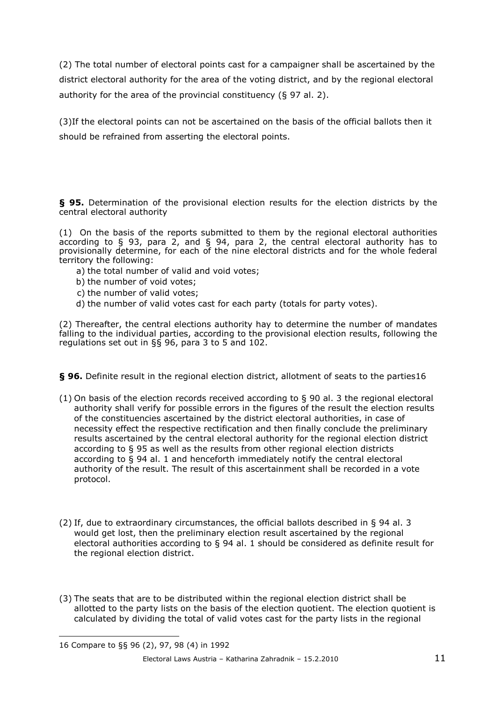(2) The total number of electoral points cast for a campaigner shall be ascertained by the district electoral authority for the area of the voting district, and by the regional electoral authority for the area of the provincial constituency (§ 97 al. 2).

(3)If the electoral points can not be ascertained on the basis of the official ballots then it should be refrained from asserting the electoral points.

**§ 95.** Determination of the provisional election results for the election districts by the central electoral authority

(1) On the basis of the reports submitted to them by the regional electoral authorities according to  $\xi$  93, para 2, and  $\xi$  94, para 2, the central electoral authority has to provisionally determine, for each of the nine electoral districts and for the whole federal territory the following:

- a) the total number of valid and void votes;
- b) the number of void votes;
- c) the number of valid votes;
- d) the number of valid votes cast for each party (totals for party votes).

(2) Thereafter, the central elections authority hay to determine the number of mandates falling to the individual parties, according to the provisional election results, following the regulations set out in §§ 96, para 3 to 5 and 102.

**§ 96.** Definite result in the regional election district, allotment of seats to the parties16

- (1) On basis of the election records received according to  $\S$  90 al. 3 the regional electoral authority shall verify for possible errors in the figures of the result the election results of the constituencies ascertained by the district electoral authorities, in case of necessity effect the respective rectification and then finally conclude the preliminary results ascertained by the central electoral authority for the regional election district according to § 95 as well as the results from other regional election districts according to § 94 al. 1 and henceforth immediately notify the central electoral authority of the result. The result of this ascertainment shall be recorded in a vote protocol.
- (2) If, due to extraordinary circumstances, the official ballots described in § 94 al. 3 would get lost, then the preliminary election result ascertained by the regional electoral authorities according to § 94 al. 1 should be considered as definite result for the regional election district.
- (3) The seats that are to be distributed within the regional election district shall be allotted to the party lists on the basis of the election quotient. The election quotient is calculated by dividing the total of valid votes cast for the party lists in the regional

<sup>16</sup> Compare to §§ 96 (2), 97, 98 (4) in 1992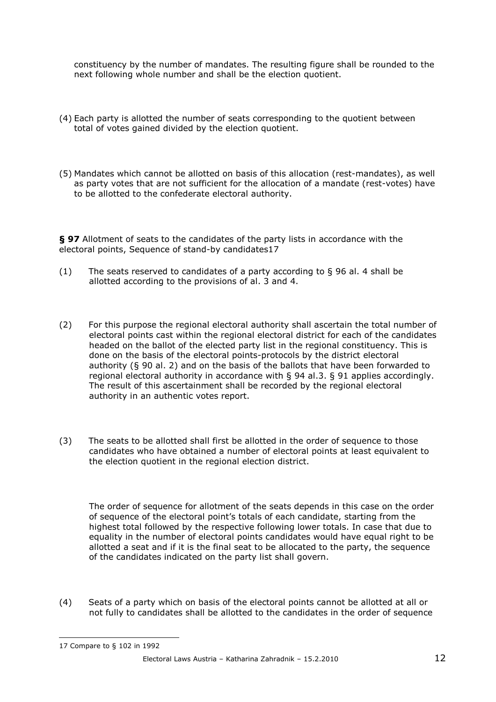constituency by the number of mandates. The resulting figure shall be rounded to the next following whole number and shall be the election quotient.

- (4) Each party is allotted the number of seats corresponding to the quotient between total of votes gained divided by the election quotient.
- (5) Mandates which cannot be allotted on basis of this allocation (rest-mandates), as well as party votes that are not sufficient for the allocation of a mandate (rest-votes) have to be allotted to the confederate electoral authority.

**§ 97** Allotment of seats to the candidates of the party lists in accordance with the electoral points, Sequence of stand-by candidates17

- (1) The seats reserved to candidates of a party according to § 96 al. 4 shall be allotted according to the provisions of al. 3 and 4.
- (2) For this purpose the regional electoral authority shall ascertain the total number of electoral points cast within the regional electoral district for each of the candidates headed on the ballot of the elected party list in the regional constituency. This is done on the basis of the electoral points-protocols by the district electoral authority (§ 90 al. 2) and on the basis of the ballots that have been forwarded to regional electoral authority in accordance with § 94 al.3. § 91 applies accordingly. The result of this ascertainment shall be recorded by the regional electoral authority in an authentic votes report.
- (3) The seats to be allotted shall first be allotted in the order of sequence to those candidates who have obtained a number of electoral points at least equivalent to the election quotient in the regional election district.

The order of sequence for allotment of the seats depends in this case on the order of sequence of the electoral point's totals of each candidate, starting from the highest total followed by the respective following lower totals. In case that due to equality in the number of electoral points candidates would have equal right to be allotted a seat and if it is the final seat to be allocated to the party, the sequence of the candidates indicated on the party list shall govern.

(4) Seats of a party which on basis of the electoral points cannot be allotted at all or not fully to candidates shall be allotted to the candidates in the order of sequence

<sup>17</sup> Compare to § 102 in 1992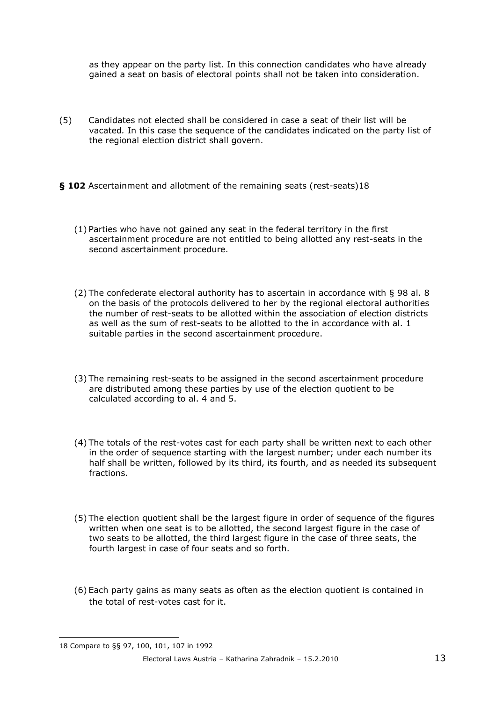as they appear on the party list. In this connection candidates who have already gained a seat on basis of electoral points shall not be taken into consideration.

- (5) Candidates not elected shall be considered in case a seat of their list will be vacated*.* In this case the sequence of the candidates indicated on the party list of the regional election district shall govern.
- **§ 102** Ascertainment and allotment of the remaining seats (rest-seats)18
	- (1) Parties who have not gained any seat in the federal territory in the first ascertainment procedure are not entitled to being allotted any rest-seats in the second ascertainment procedure.
	- (2) The confederate electoral authority has to ascertain in accordance with § 98 al. 8 on the basis of the protocols delivered to her by the regional electoral authorities the number of rest-seats to be allotted within the association of election districts as well as the sum of rest-seats to be allotted to the in accordance with al. 1 suitable parties in the second ascertainment procedure.
	- (3) The remaining rest-seats to be assigned in the second ascertainment procedure are distributed among these parties by use of the election quotient to be calculated according to al. 4 and 5.
	- (4) The totals of the rest-votes cast for each party shall be written next to each other in the order of sequence starting with the largest number; under each number its half shall be written, followed by its third, its fourth, and as needed its subsequent fractions.
	- (5) The election quotient shall be the largest figure in order of sequence of the figures written when one seat is to be allotted, the second largest figure in the case of two seats to be allotted, the third largest figure in the case of three seats, the fourth largest in case of four seats and so forth.
	- (6) Each party gains as many seats as often as the election quotient is contained in the total of rest-votes cast for it.

<sup>18</sup> Compare to §§ 97, 100, 101, 107 in 1992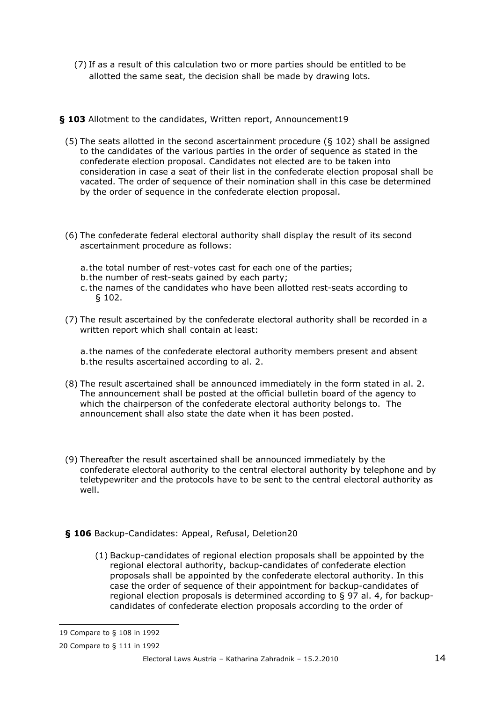(7) If as a result of this calculation two or more parties should be entitled to be allotted the same seat, the decision shall be made by drawing lots.

**§ 103** Allotment to the candidates, Written report, Announcement19

- (5) The seats allotted in the second ascertainment procedure ( $\S$  102) shall be assigned to the candidates of the various parties in the order of sequence as stated in the confederate election proposal. Candidates not elected are to be taken into consideration in case a seat of their list in the confederate election proposal shall be vacated. The order of sequence of their nomination shall in this case be determined by the order of sequence in the confederate election proposal.
- (6) The confederate federal electoral authority shall display the result of its second ascertainment procedure as follows:
	- a. the total number of rest-votes cast for each one of the parties;
	- b. the number of rest-seats gained by each party;
	- c. the names of the candidates who have been allotted rest-seats according to § 102.
- (7) The result ascertained by the confederate electoral authority shall be recorded in a written report which shall contain at least:

a. the names of the confederate electoral authority members present and absent b. the results ascertained according to al. 2.

- (8) The result ascertained shall be announced immediately in the form stated in al. 2. The announcement shall be posted at the official bulletin board of the agency to which the chairperson of the confederate electoral authority belongs to. The announcement shall also state the date when it has been posted.
- (9) Thereafter the result ascertained shall be announced immediately by the confederate electoral authority to the central electoral authority by telephone and by teletypewriter and the protocols have to be sent to the central electoral authority as well.
- **§ 106** Backup-Candidates: Appeal, Refusal, Deletion20
	- (1) Backup-candidates of regional election proposals shall be appointed by the regional electoral authority, backup-candidates of confederate election proposals shall be appointed by the confederate electoral authority. In this case the order of sequence of their appointment for backup-candidates of regional election proposals is determined according to § 97 al. 4, for backupcandidates of confederate election proposals according to the order of

<sup>19</sup> Compare to § 108 in 1992

<sup>20</sup> Compare to § 111 in 1992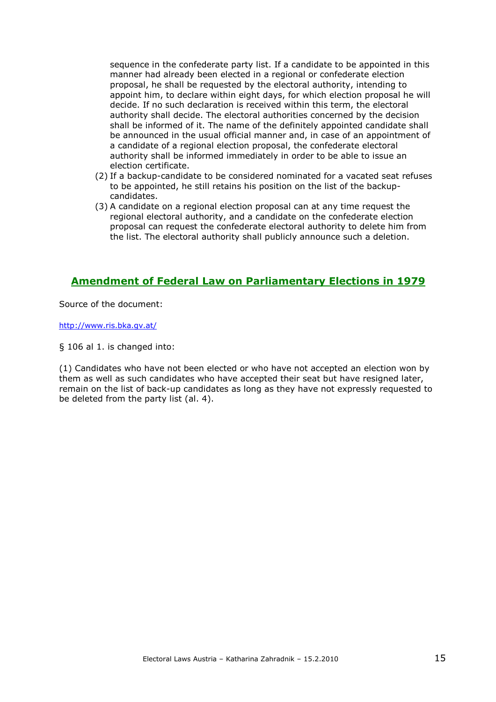sequence in the confederate party list. If a candidate to be appointed in this manner had already been elected in a regional or confederate election proposal, he shall be requested by the electoral authority, intending to appoint him, to declare within eight days, for which election proposal he will decide. If no such declaration is received within this term, the electoral authority shall decide. The electoral authorities concerned by the decision shall be informed of it. The name of the definitely appointed candidate shall be announced in the usual official manner and, in case of an appointment of a candidate of a regional election proposal, the confederate electoral authority shall be informed immediately in order to be able to issue an election certificate.

- (2) If a backup-candidate to be considered nominated for a vacated seat refuses to be appointed, he still retains his position on the list of the backupcandidates.
- (3) A candidate on a regional election proposal can at any time request the regional electoral authority, and a candidate on the confederate election proposal can request the confederate electoral authority to delete him from the list. The electoral authority shall publicly announce such a deletion.

# **Amendment of Federal Law on Parliamentary Elections in 1979**

Source of the document:

http://www.ris.bka.gv.at/

§ 106 al 1. is changed into:

(1) Candidates who have not been elected or who have not accepted an election won by them as well as such candidates who have accepted their seat but have resigned later, remain on the list of back-up candidates as long as they have not expressly requested to be deleted from the party list (al. 4).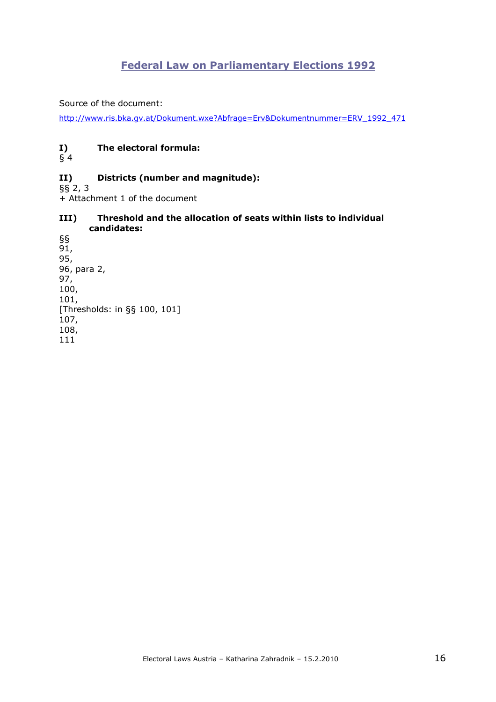# **Federal Law on Parliamentary Elections 1992**

Source of the document:

http://www.ris.bka.gv.at/Dokument.wxe?Abfrage=Erv&Dokumentnummer=ERV\_1992\_471

### **I) The electoral formula:**

§ 4

#### **II) Districts (number and magnitude):**

 $\bar{\S}$  2, 3

+ Attachment 1 of the document

#### **III) Threshold and the allocation of seats within lists to individual candidates:**

§§ 91, 95, 96, para 2, 97, 100, 101, [Thresholds: in §§ 100, 101] 107, 108, 111